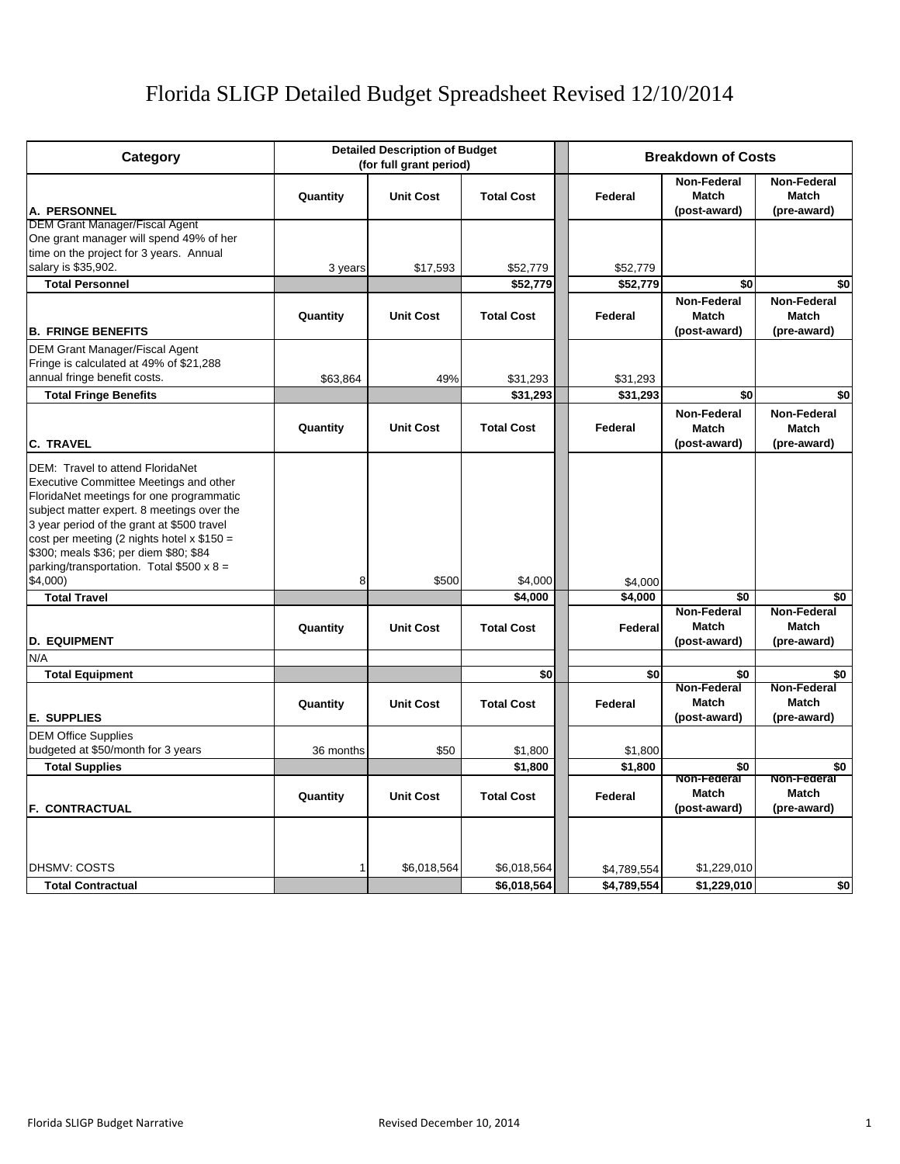# Florida SLIGP Detailed Budget Spreadsheet Revised 12/10/2014

| Quantity  | <b>Unit Cost</b> | <b>Total Cost</b> | Federal                                                                                                        | Non-Federal<br><b>Match</b><br>(post-award)        | Non-Federal<br><b>Match</b><br>(pre-award)                                           |
|-----------|------------------|-------------------|----------------------------------------------------------------------------------------------------------------|----------------------------------------------------|--------------------------------------------------------------------------------------|
|           |                  |                   |                                                                                                                |                                                    |                                                                                      |
|           |                  |                   |                                                                                                                | \$0                                                | \$0                                                                                  |
| Quantity  | <b>Unit Cost</b> | <b>Total Cost</b> | Federal                                                                                                        | <b>Non-Federal</b><br><b>Match</b><br>(post-award) | <b>Non-Federal</b><br><b>Match</b><br>(pre-award)                                    |
| \$63,864  | 49%              | \$31,293          | \$31,293                                                                                                       |                                                    |                                                                                      |
|           |                  | \$31,293          | \$31,293                                                                                                       | \$0                                                | \$0                                                                                  |
| Quantity  | <b>Unit Cost</b> | <b>Total Cost</b> | Federal                                                                                                        | Non-Federal<br><b>Match</b><br>(post-award)        | Non-Federal<br><b>Match</b><br>(pre-award)                                           |
| 8         | \$500            | \$4,000           | \$4,000                                                                                                        |                                                    |                                                                                      |
|           |                  | \$4,000           | \$4,000                                                                                                        | \$0                                                | \$0                                                                                  |
| Quantity  | <b>Unit Cost</b> | <b>Total Cost</b> | Federal                                                                                                        | <b>Match</b><br>(post-award)                       | Non-Federal<br>Match<br>(pre-award)                                                  |
|           |                  |                   |                                                                                                                |                                                    |                                                                                      |
| Quantity  | <b>Unit Cost</b> | <b>Total Cost</b> | Federal                                                                                                        | Non-Federal<br><b>Match</b><br>(post-award)        | \$0<br>Non-Federal<br><b>Match</b><br>(pre-award)                                    |
| 36 months | \$50             | \$1,800           | \$1,800                                                                                                        |                                                    |                                                                                      |
|           |                  | \$1.800           | \$1.800                                                                                                        | \$0                                                | \$0                                                                                  |
| Quantity  | <b>Unit Cost</b> | <b>Total Cost</b> | Federal                                                                                                        | Match<br>(post-award)                              | Non-Federal<br>Match<br>(pre-award)                                                  |
| 1         | \$6,018,564      | \$6,018,564       | \$4,789,554                                                                                                    | \$1,229,010                                        | \$0                                                                                  |
|           | 3 years          | \$17,593          | <b>Detailed Description of Budget</b><br>(for full grant period)<br>\$52,779<br>\$52,779<br>\$0<br>\$6,018,564 | \$52,779<br>\$52,779<br>\$0<br>\$4,789,554         | <b>Breakdown of Costs</b><br><b>Non-Federal</b><br>\$0<br>Non-Federal<br>\$1,229,010 |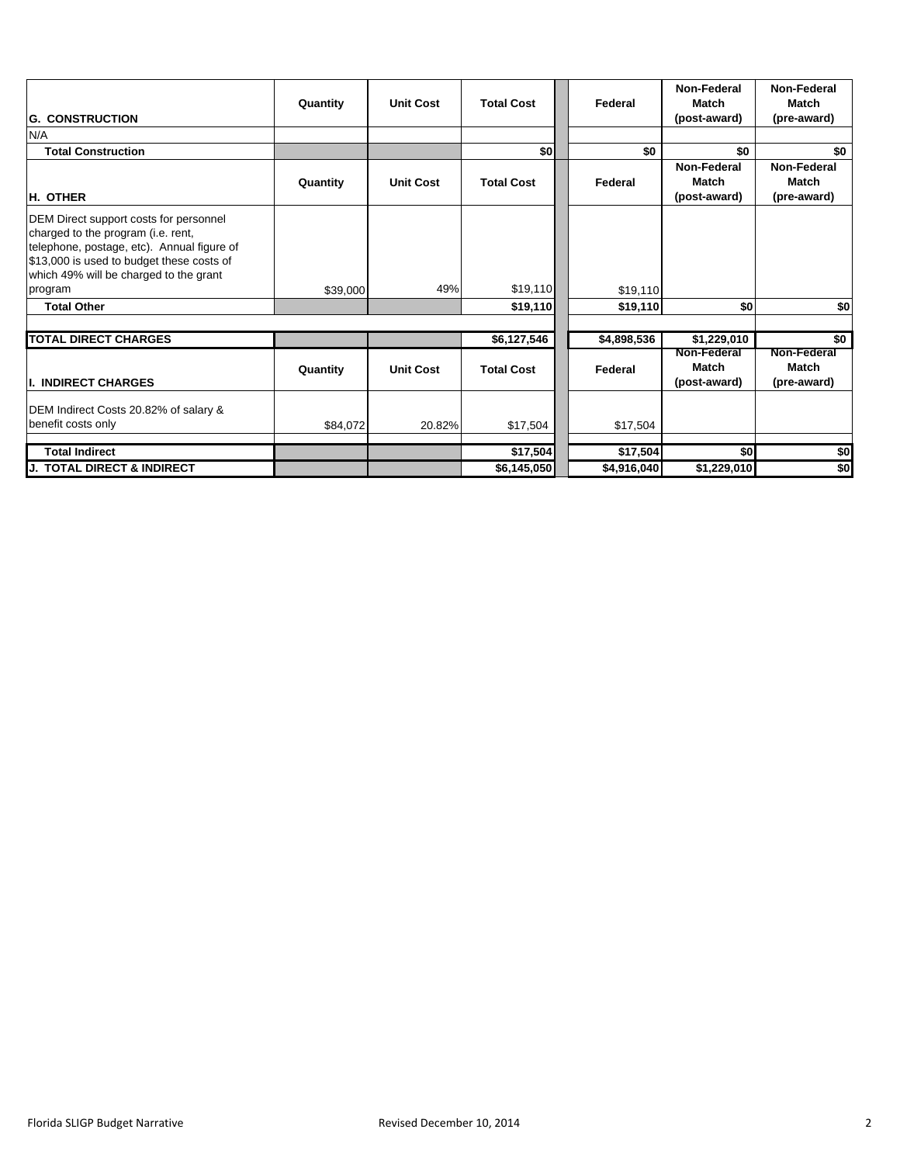| IG. CONSTRUCTION                                                                                                                                                                                                             | Quantity | <b>Unit Cost</b> | <b>Total Cost</b> | Federal     | Non-Federal<br>Match<br>(post-award) | Non-Federal<br>Match<br>(pre-award) |
|------------------------------------------------------------------------------------------------------------------------------------------------------------------------------------------------------------------------------|----------|------------------|-------------------|-------------|--------------------------------------|-------------------------------------|
| N/A                                                                                                                                                                                                                          |          |                  |                   |             |                                      |                                     |
| <b>Total Construction</b>                                                                                                                                                                                                    |          |                  | \$0               | \$0         | \$0                                  | \$0                                 |
| H. OTHER                                                                                                                                                                                                                     | Quantity | <b>Unit Cost</b> | <b>Total Cost</b> | Federal     | Non-Federal<br>Match<br>(post-award) | Non-Federal<br>Match<br>(pre-award) |
| DEM Direct support costs for personnel<br>charged to the program (i.e. rent,<br>telephone, postage, etc). Annual figure of<br>\$13,000 is used to budget these costs of<br>which 49% will be charged to the grant<br>program | \$39,000 | 49%              | \$19,110          | \$19,110    |                                      |                                     |
|                                                                                                                                                                                                                              |          |                  |                   |             |                                      |                                     |
| <b>Total Other</b>                                                                                                                                                                                                           |          |                  | \$19,110          | \$19,110    | \$0                                  | \$0                                 |
| <b>TOTAL DIRECT CHARGES</b>                                                                                                                                                                                                  |          |                  | \$6,127,546       | \$4,898,536 | \$1,229,010                          | \$0                                 |
| <b>INDIRECT CHARGES</b><br>L                                                                                                                                                                                                 | Quantity | <b>Unit Cost</b> | <b>Total Cost</b> | Federal     | Non-Federal<br>Match<br>(post-award) | Non-Federal<br>Match<br>(pre-award) |
| DEM Indirect Costs 20.82% of salary &<br>benefit costs only                                                                                                                                                                  | \$84,072 | 20.82%           | \$17,504          | \$17,504    |                                      |                                     |
| <b>Total Indirect</b>                                                                                                                                                                                                        |          |                  | \$17,504          | \$17,504    | \$0                                  | \$0                                 |
| <b>IJ. TOTAL DIRECT &amp; INDIRECT</b>                                                                                                                                                                                       |          |                  | \$6,145,050       | \$4,916,040 | \$1,229,010                          | \$0                                 |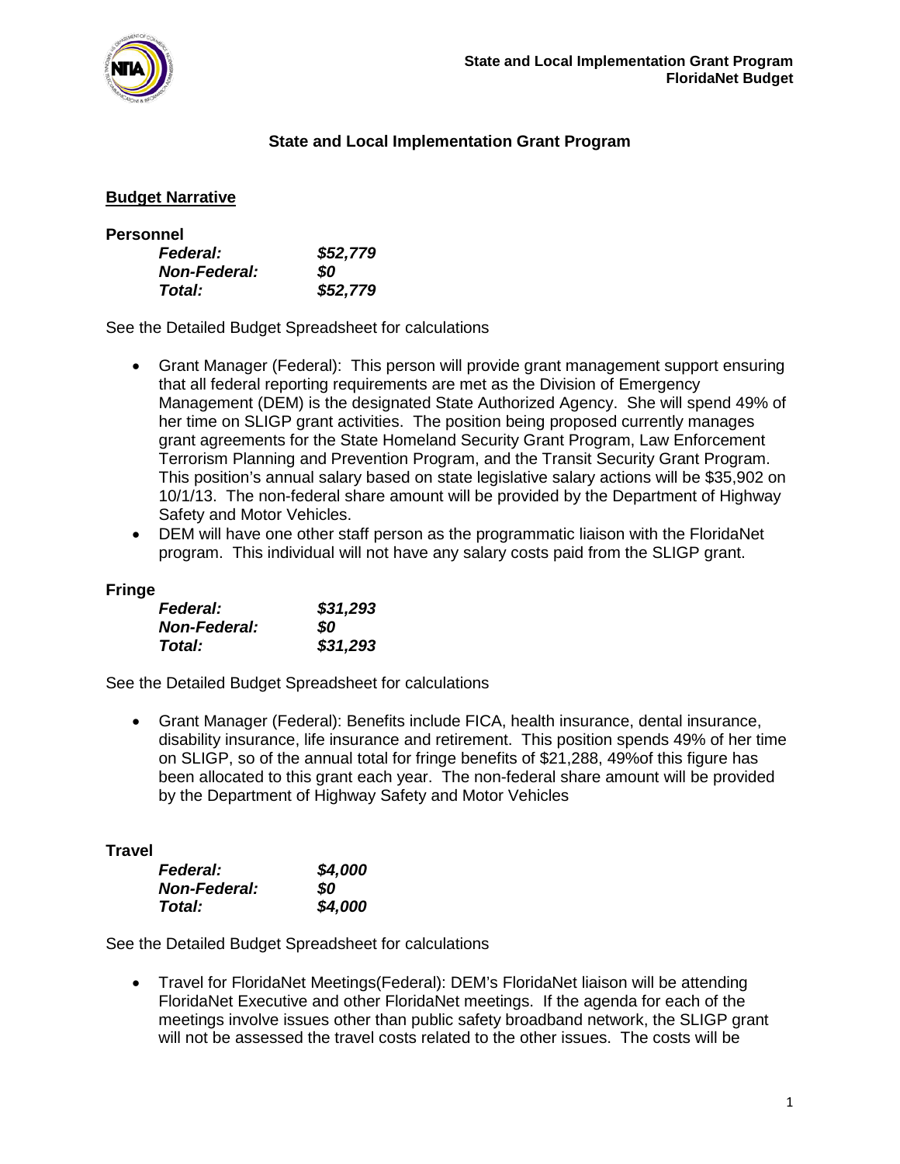

## **State and Local Implementation Grant Program**

# **Budget Narrative**

| Personnel           |          |
|---------------------|----------|
| <b>Federal:</b>     | \$52,779 |
| <b>Non-Federal:</b> | 80       |
| Total:              | \$52,779 |

See the Detailed Budget Spreadsheet for calculations

- Grant Manager (Federal): This person will provide grant management support ensuring that all federal reporting requirements are met as the Division of Emergency Management (DEM) is the designated State Authorized Agency. She will spend 49% of her time on SLIGP grant activities. The position being proposed currently manages grant agreements for the State Homeland Security Grant Program, Law Enforcement Terrorism Planning and Prevention Program, and the Transit Security Grant Program. This position's annual salary based on state legislative salary actions will be \$35,902 on 10/1/13. The non-federal share amount will be provided by the Department of Highway Safety and Motor Vehicles.
- DEM will have one other staff person as the programmatic liaison with the FloridaNet program. This individual will not have any salary costs paid from the SLIGP grant.

## **Fringe**

| <b>Federal:</b>     | \$31,293 |
|---------------------|----------|
| <b>Non-Federal:</b> | SO.      |
| Total:              | \$31,293 |

See the Detailed Budget Spreadsheet for calculations

• Grant Manager (Federal): Benefits include FICA, health insurance, dental insurance, disability insurance, life insurance and retirement. This position spends 49% of her time on SLIGP, so of the annual total for fringe benefits of \$21,288, 49%of this figure has been allocated to this grant each year. The non-federal share amount will be provided by the Department of Highway Safety and Motor Vehicles

## **Travel**

| <b>Federal:</b>     | \$4,000 |
|---------------------|---------|
| <b>Non-Federal:</b> | SO.     |
| Total:              | \$4,000 |

See the Detailed Budget Spreadsheet for calculations

• Travel for FloridaNet Meetings(Federal): DEM's FloridaNet liaison will be attending FloridaNet Executive and other FloridaNet meetings. If the agenda for each of the meetings involve issues other than public safety broadband network, the SLIGP grant will not be assessed the travel costs related to the other issues. The costs will be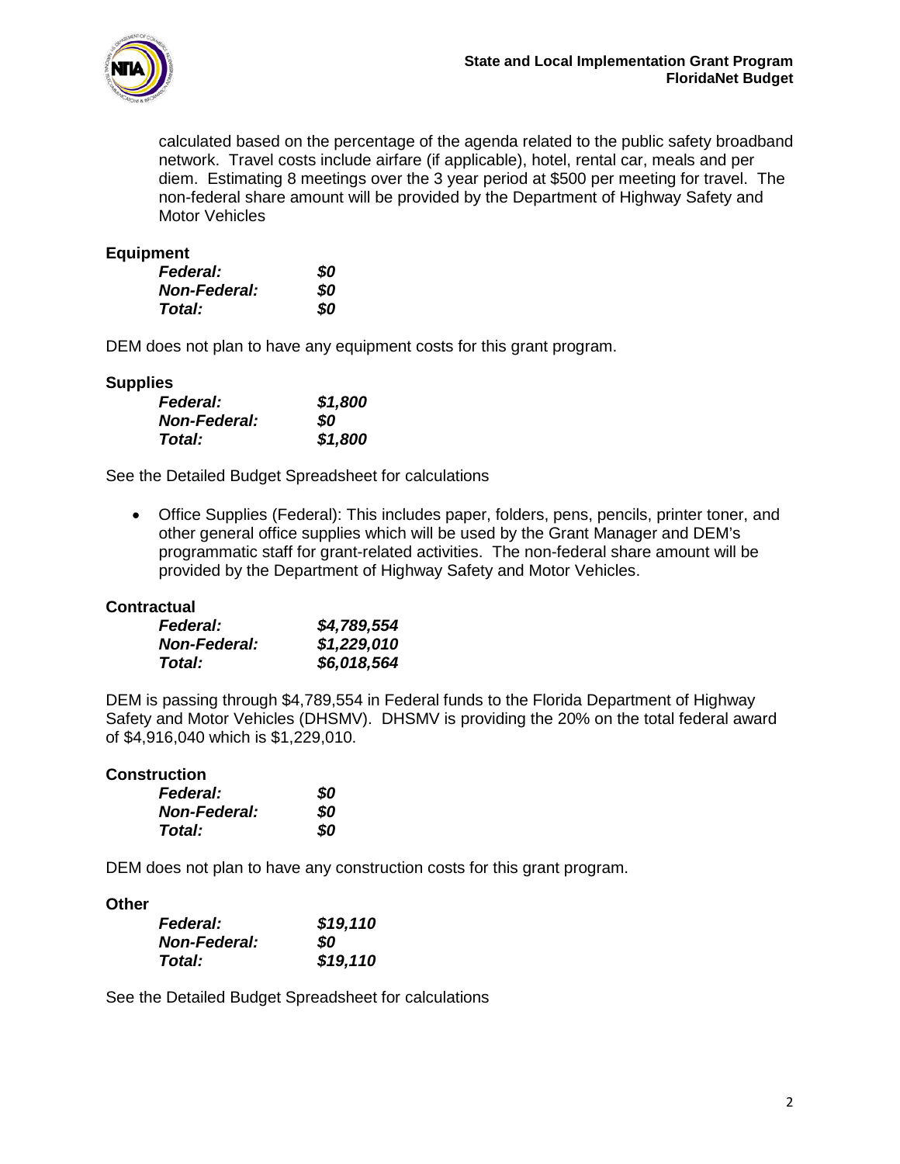

calculated based on the percentage of the agenda related to the public safety broadband network. Travel costs include airfare (if applicable), hotel, rental car, meals and per diem. Estimating 8 meetings over the 3 year period at \$500 per meeting for travel. The non-federal share amount will be provided by the Department of Highway Safety and Motor Vehicles

## **Equipment**

| <b>Federal:</b>     | 80 |
|---------------------|----|
| <b>Non-Federal:</b> | 80 |
| Total:              | 80 |

DEM does not plan to have any equipment costs for this grant program.

## **Supplies**

| <b>Federal:</b>     | \$1,800 |
|---------------------|---------|
| <b>Non-Federal:</b> | SO.     |
| Total:              | \$1,800 |

See the Detailed Budget Spreadsheet for calculations

• Office Supplies (Federal): This includes paper, folders, pens, pencils, printer toner, and other general office supplies which will be used by the Grant Manager and DEM's programmatic staff for grant-related activities. The non-federal share amount will be provided by the Department of Highway Safety and Motor Vehicles.

### **Contractual**

| <b>Federal:</b>     | \$4,789,554 |
|---------------------|-------------|
| <b>Non-Federal:</b> | \$1,229,010 |
| Total:              | \$6,018,564 |

DEM is passing through \$4,789,554 in Federal funds to the Florida Department of Highway Safety and Motor Vehicles (DHSMV). DHSMV is providing the 20% on the total federal award of \$4,916,040 which is \$1,229,010.

### **Construction**

| <b>Federal:</b>     | 80 |
|---------------------|----|
| <b>Non-Federal:</b> | 80 |
| Total:              | 80 |

DEM does not plan to have any construction costs for this grant program.

### **Other**

| <b>Federal:</b>     | \$19,110 |
|---------------------|----------|
| <b>Non-Federal:</b> | SO       |
| Total:              | \$19,110 |

See the Detailed Budget Spreadsheet for calculations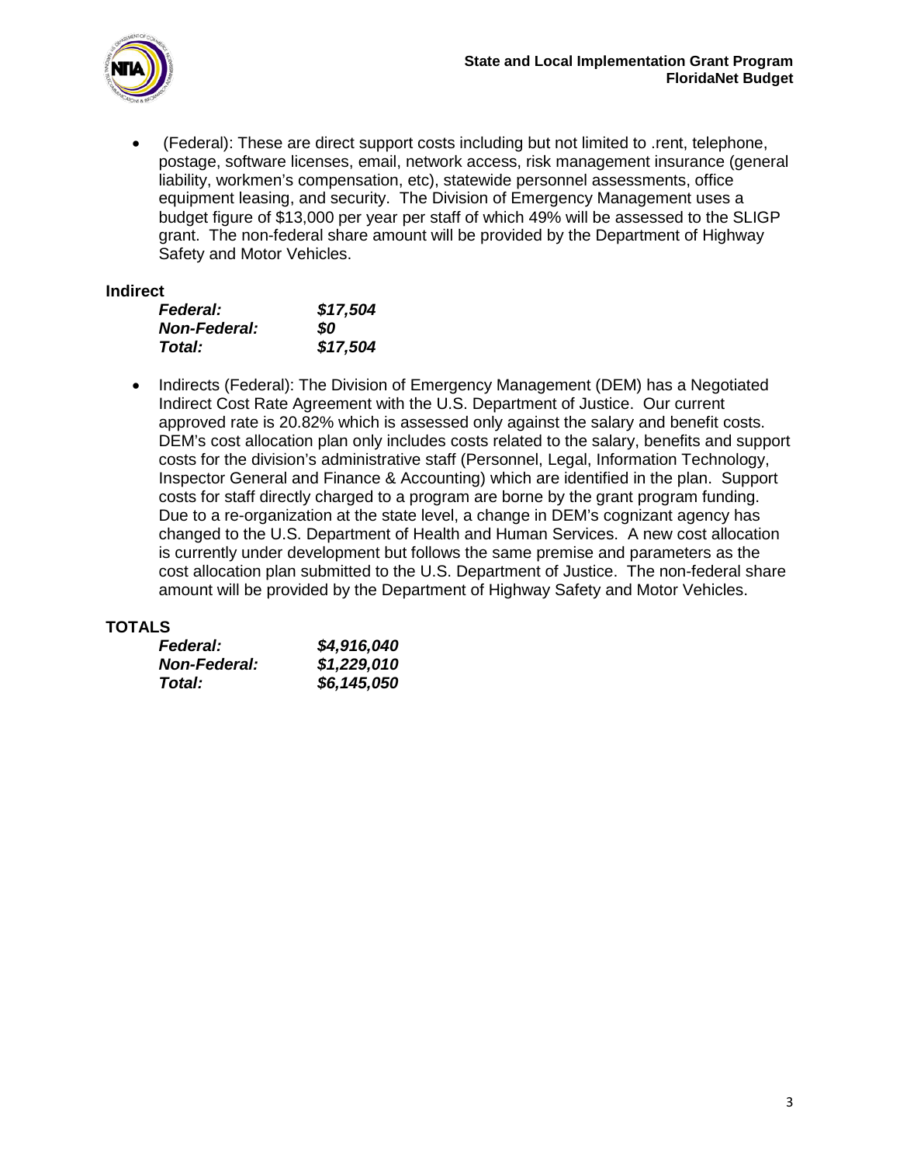

• (Federal): These are direct support costs including but not limited to .rent, telephone, postage, software licenses, email, network access, risk management insurance (general liability, workmen's compensation, etc), statewide personnel assessments, office equipment leasing, and security. The Division of Emergency Management uses a budget figure of \$13,000 per year per staff of which 49% will be assessed to the SLIGP grant. The non-federal share amount will be provided by the Department of Highway Safety and Motor Vehicles.

## **Indirect**

| <b>Federal:</b>     | \$17,504 |
|---------------------|----------|
| <b>Non-Federal:</b> | SO.      |
| Total:              | \$17,504 |

• Indirects (Federal): The Division of Emergency Management (DEM) has a Negotiated Indirect Cost Rate Agreement with the U.S. Department of Justice. Our current approved rate is 20.82% which is assessed only against the salary and benefit costs. DEM's cost allocation plan only includes costs related to the salary, benefits and support costs for the division's administrative staff (Personnel, Legal, Information Technology, Inspector General and Finance & Accounting) which are identified in the plan. Support costs for staff directly charged to a program are borne by the grant program funding. Due to a re-organization at the state level, a change in DEM's cognizant agency has changed to the U.S. Department of Health and Human Services. A new cost allocation is currently under development but follows the same premise and parameters as the cost allocation plan submitted to the U.S. Department of Justice. The non-federal share amount will be provided by the Department of Highway Safety and Motor Vehicles.

## **TOTALS**

| <b>Federal:</b>     | \$4,916,040 |
|---------------------|-------------|
| <b>Non-Federal:</b> | \$1,229,010 |
| Total:              | \$6,145,050 |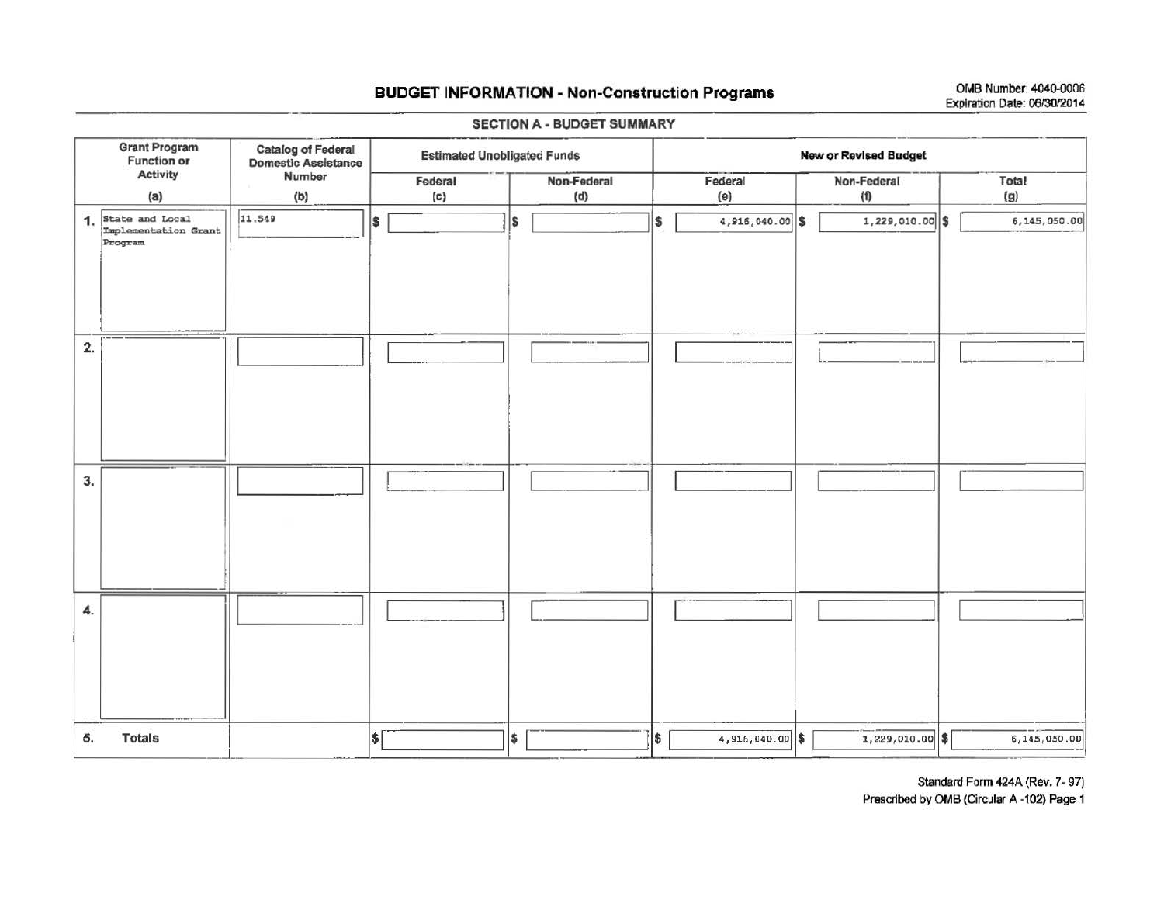#### **BUDGET INFORMATION - Non-Construction Programs**

#### **Grant Program Catalog of Federal Estimated Unobligated Funds New or Revised Budget Function or Domestic Assistance** Activity Number Non-Federal Non-Federal Federal Federal Total  $(a)$  $(b)$  $(c)$  $(d)$  $(e)$  $(1)$  $(g)$ 1. State and Local 11.549 \$ \$ \$ 4,916,040.00 \$  $1,229,010.00$  \$ 6,145,050.00 Implementation Grant Program  $2.$ 3. 4. **Totals**  $\boldsymbol{s}$ \$ l\$ 4,916,040.00 \$ 5.  $1,229,010.00$  \$ 6,145,050.00

**SECTION A - BUDGET SUMMARY** 

Standard Form 424A (Rev. 7-97)

Prescribed by OMB (Circular A -102) Page 1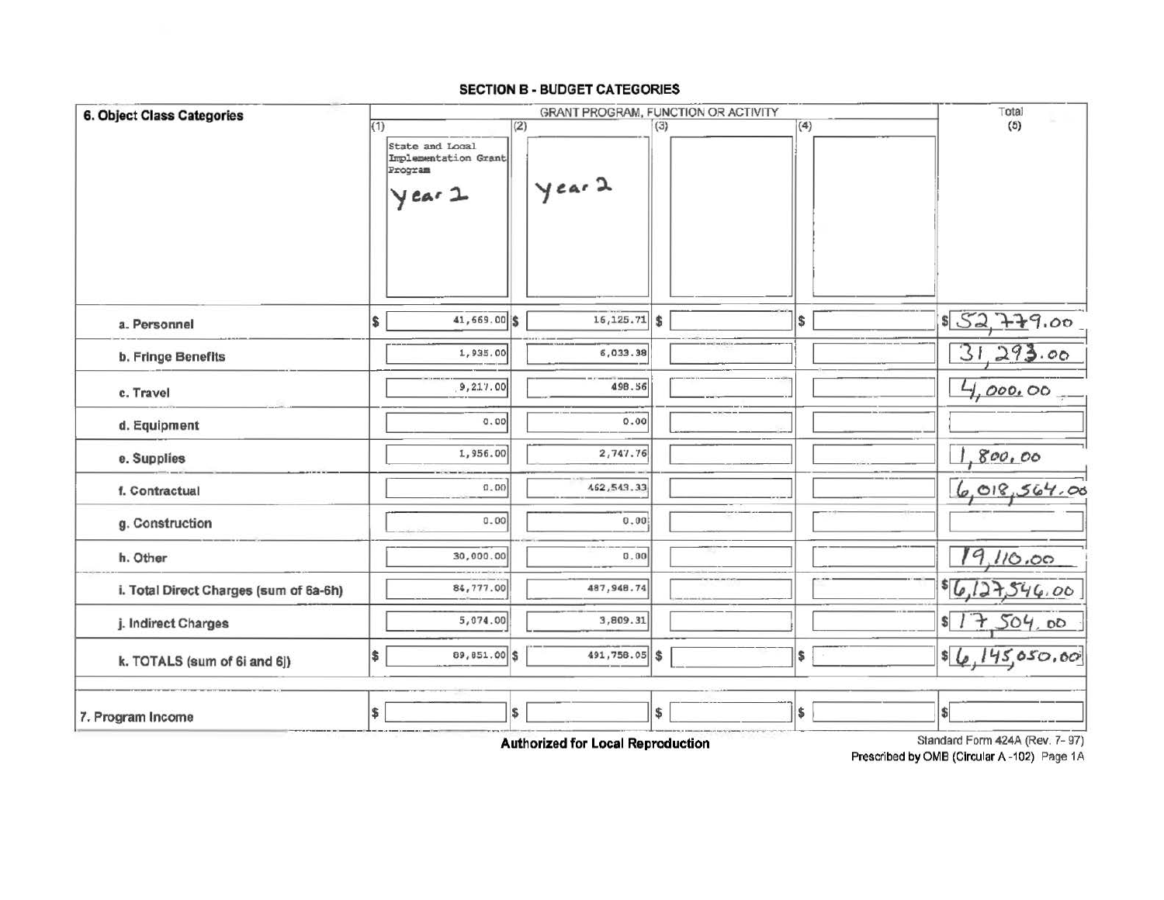#### **SECTION B - BUDGET CATEGORIES**

| 6. Object Class Categories             |                                                                     | Total        |                                                  |     |     |                    |
|----------------------------------------|---------------------------------------------------------------------|--------------|--------------------------------------------------|-----|-----|--------------------|
|                                        | (1)<br>State and Local<br>Implementation Grant<br>Program<br>year 1 | (2)          | GRANT PROGRAM, FUNCTION OR ACTIVITY<br>$y$ car 2 | (3) | (4) | (5)                |
| a. Personnel                           | \$                                                                  | 41,669.00 \$ | $16, 125.71$ \$                                  |     | \$  | \$52,779.00        |
| b. Fringe Benefits                     |                                                                     | 1,935.00     | 6,033.38                                         |     |     | 31, 293.00         |
| c. Travel                              |                                                                     | 9,217.00     | 498.56                                           |     |     | 4,000,00           |
| d. Equipment                           |                                                                     | 0.00         | 0.00                                             |     |     |                    |
| e. Supplies                            |                                                                     | 1,956.00     | 2,747.76                                         |     |     | 1,800,00           |
| f. Contractual                         |                                                                     | 0.00         | 462,543.33                                       |     |     | 6,018,564.00       |
| g. Construction                        |                                                                     | 0.00         | 0.00                                             |     |     |                    |
| h. Other                               |                                                                     | 30,000.00    | 0.00                                             |     |     | 19,110.00          |
| i. Total Direct Charges (sum of 6a-6h) |                                                                     | 84,777.00    | 487,948.74                                       |     |     | 56,127,546.00      |
| j. Indirect Charges                    |                                                                     | 5,074.00     | 3,809.31                                         |     |     | s17504.00          |
| k. TOTALS (sum of 6i and 6j)           | \$                                                                  | 89,851.00 \$ | 491,758.05 \$                                    |     | \$  | $s_{4,145,050,00}$ |
| 7. Program Income                      | \$                                                                  | \$           |                                                  | \$  | \$  | \$                 |

Prescribed by OMB (Circular A-102) Page 1A